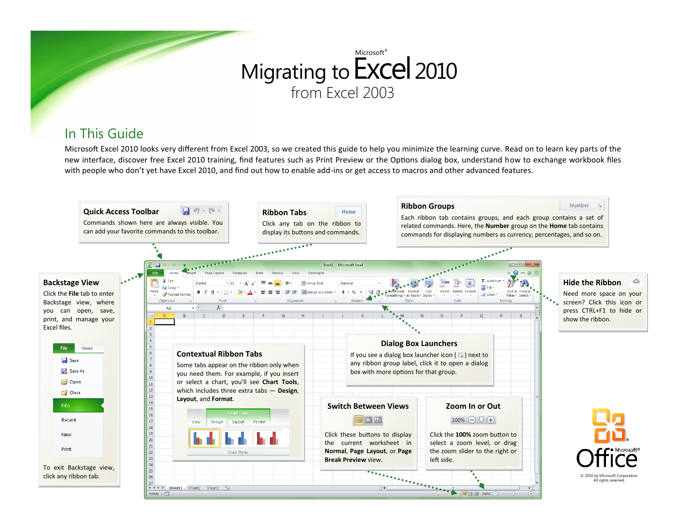# Migrating to Excel 2010 from Excel 2003 Microsoft<sup>®</sup>

### In This Guide

Microsoft Excel 2010 looks very different from Excel 2003, so we created this guide to help you minimize the learning curve. Read on to learn key parts of the new interface, discover free Excel 2010 training, find features such as Print Preview or the Options dialog box, understand how to exchange workbook files with people who don't yet have Excel 2010, and find out how to enable add-ins or get access to macros and other advanced features.

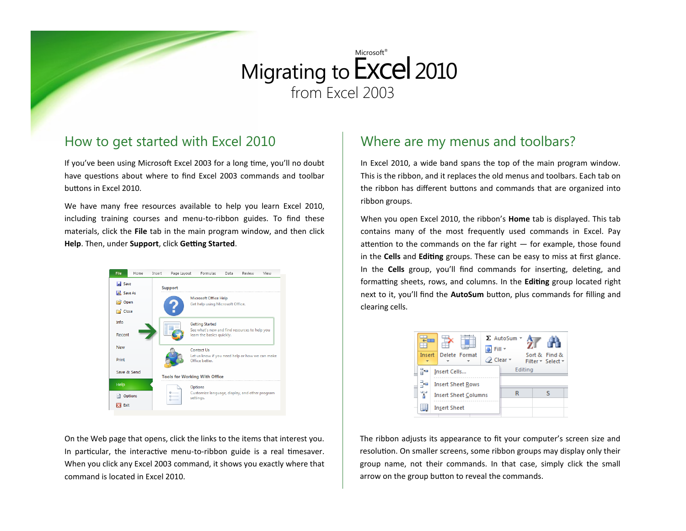# Migrating to Excel 2010 from Excel 2003 Microsoft<sup>®</sup>

#### How to get started with Excel 2010

If you've been using Microsoft Excel 2003 for a long time, you'll no doubt have questions about where to find Excel 2003 commands and toolbar buttons in Excel 2010.

We have many free resources available to help you learn Excel 2010, including training courses and menu-to-ribbon guides. To find these materials, click the **File** tab in the main program window, and then click **Help**. Then, under **Support**, click **Getting Started**.



On the Web page that opens, click the links to the items that interest you. In particular, the interactive menu-to-ribbon guide is a real timesaver. When you click any Excel 2003 command, it shows you exactly where that command is located in Excel 2010.

#### Where are my menus and toolbars?

In Excel 2010, a wide band spans the top of the main program window. This is the ribbon, and it replaces the old menus and toolbars. Each tab on the ribbon has different buttons and commands that are organized into ribbon groups.

When you open Excel 2010, the ribbon's **Home** tab is displayed. This tab contains many of the most frequently used commands in Excel. Pay attention to the commands on the far right  $-$  for example, those found in the **Cells** and **Editing** groups. These can be easy to miss at first glance. In the **Cells** group, you'll find commands for inserting, deleting, and formatting sheets, rows, and columns. In the **Editing** group located right next to it, you'll find the **AutoSum** button, plus commands for filling and clearing cells.

| Insert |  |                     | Delete Format               | △ Clear - | $\Sigma$ AutoSum $\sim$<br>Fill * | Sort & Find &<br>Filter * Select * |
|--------|--|---------------------|-----------------------------|-----------|-----------------------------------|------------------------------------|
|        |  | Insert Cells        |                             |           | Editing                           |                                    |
| æ      |  |                     | <b>Insert Sheet Rows</b>    |           |                                   |                                    |
| Ŧ      |  |                     | <b>Insert Sheet Columns</b> |           | R                                 | ς                                  |
|        |  | <b>Insert Sheet</b> |                             |           |                                   |                                    |

The ribbon adjusts its appearance to fit your computer's screen size and resolution. On smaller screens, some ribbon groups may display only their group name, not their commands. In that case, simply click the small arrow on the group button to reveal the commands.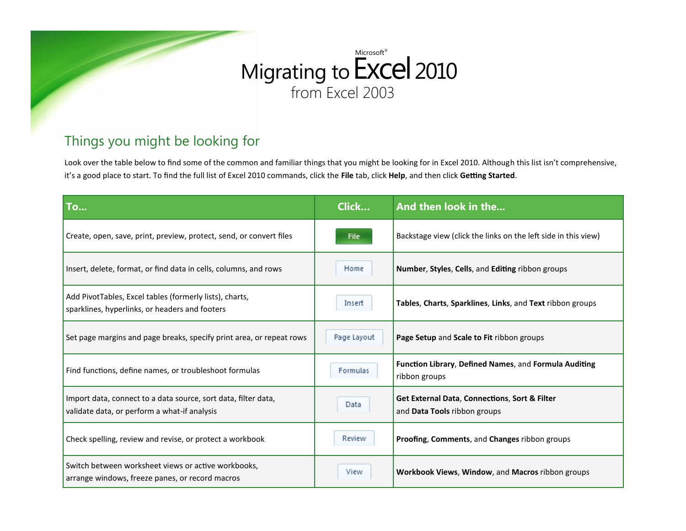#### Migrating to **EXCel** 201 from Excel 2003 **Excel 2010** Microsoft®

### Things you might be looking for

Look over the table below to find some of the common and familiar things that you might be looking for in Excel 2010. Although this list isn't comprehensive, it's a good place to start. To find the full list of Excel 2010 commands, click the **File** tab, click **Help**, and then click **Getting Started**.

| <b>To</b>                                                                                                      | Click       | And then look in the                                                          |
|----------------------------------------------------------------------------------------------------------------|-------------|-------------------------------------------------------------------------------|
| Create, open, save, print, preview, protect, send, or convert files                                            | File        | Backstage view (click the links on the left side in this view)                |
| Insert, delete, format, or find data in cells, columns, and rows                                               | Home        | Number, Styles, Cells, and Editing ribbon groups                              |
| Add PivotTables, Excel tables (formerly lists), charts,<br>sparklines, hyperlinks, or headers and footers      | Insert      | Tables, Charts, Sparklines, Links, and Text ribbon groups                     |
| Set page margins and page breaks, specify print area, or repeat rows                                           | Page Layout | Page Setup and Scale to Fit ribbon groups                                     |
| Find functions, define names, or troubleshoot formulas                                                         | Formulas    | Function Library, Defined Names, and Formula Auditing<br>ribbon groups        |
| Import data, connect to a data source, sort data, filter data,<br>validate data, or perform a what-if analysis | Data        | Get External Data, Connections, Sort & Filter<br>and Data Tools ribbon groups |
| Check spelling, review and revise, or protect a workbook                                                       | Review      | Proofing, Comments, and Changes ribbon groups                                 |
| Switch between worksheet views or active workbooks,<br>arrange windows, freeze panes, or record macros         | View        | Workbook Views, Window, and Macros ribbon groups                              |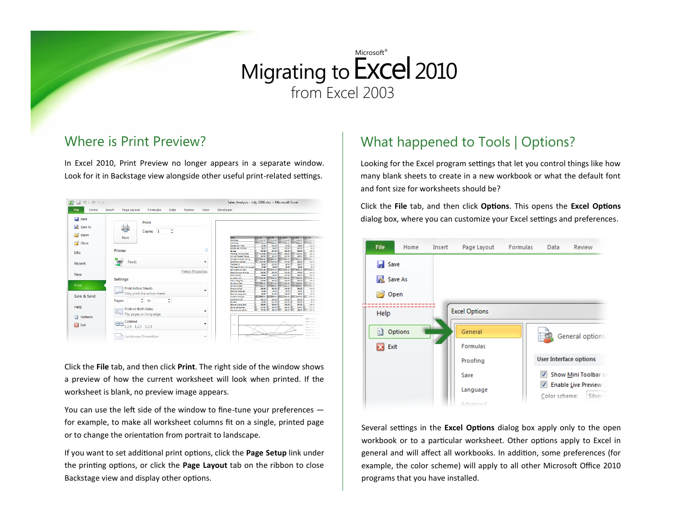#### Where is Print Preview?

In Excel 2010, Print Preview no longer appears in a separate window. Look for it in Backstage view alongside other useful print-related settings.

| File<br>Home<br>Insert<br>Save<br>Save As<br><b>P</b> Open<br>Close<br>Info<br>Recent<br><b>New</b> | Page Layout<br>Formulas<br>Review<br>View<br>Data<br>Print<br>۰<br>Copies: 1<br>$\overline{\phantom{a}}$<br>Print | Developer                                                                                                                                                                                                      |
|-----------------------------------------------------------------------------------------------------|-------------------------------------------------------------------------------------------------------------------|----------------------------------------------------------------------------------------------------------------------------------------------------------------------------------------------------------------|
|                                                                                                     |                                                                                                                   |                                                                                                                                                                                                                |
|                                                                                                     |                                                                                                                   | <b>Name</b><br><b>Prim - April</b><br>Prize - May<br><b>Max - Jan</b><br><b>Max-Feb.</b><br><b>Prize - March</b><br>Price Try<br>\$133.00<br><b>KBO Calling</b><br>sun u l<br>\$122.00<br>\$144.00<br>\$141.00 |
|                                                                                                     |                                                                                                                   | \$209.00<br>\$226.00<br>\$198.00<br>\$200.00<br><b>T20 Derailer</b><br>199.99                                                                                                                                  |
|                                                                                                     |                                                                                                                   | \$8.00<br><b>Branded Hat - Mens</b><br>\$7.99<br>\$11.00<br>\$4.00<br>\$12.00                                                                                                                                  |
|                                                                                                     | ത<br><b>Printer</b>                                                                                               | <b>Standard Hart - Midmens</b><br>\$9.00<br>\$15.00<br>\$20.00<br>\$8.00<br>\$6.00                                                                                                                             |
|                                                                                                     |                                                                                                                   | \$27.99<br>\$27.00<br>\$30.00<br>sac oo 1<br>\$20.00<br>Of Sept.                                                                                                                                               |
|                                                                                                     |                                                                                                                   | \$139.99<br>\$116.00<br>\$109.00<br>\$126.00<br>124 Series Composite Seat<br>cos co<br>\$96.00<br><b>XII Laft Treasure Tim Lug</b><br>590.99<br>\$92.00<br>\$47.00<br>ses on                                   |
|                                                                                                     |                                                                                                                   | \$215.00<br>\$106.00<br>\$141.00<br><b>XII Rate Threaded The Luc</b><br>1108.00<br>\$100.00                                                                                                                    |
|                                                                                                     |                                                                                                                   | <b>Edra Baunov Gd Seat</b><br>\$134.00<br>\$70.00<br>550.00<br>\$104.99<br>\$30.00                                                                                                                             |
|                                                                                                     | Ready<br>٠                                                                                                        | \$20.00<br>\$9.00<br>\$35.00<br>\$9.00<br>The Patich Kit<br>58.99                                                                                                                                              |
|                                                                                                     |                                                                                                                   | \$5.00<br>\$5.00<br>The Regalinity (Now with more air)<br>\$4.99<br>\$5.00<br>\$5.00                                                                                                                           |
|                                                                                                     |                                                                                                                   | \$190.00<br>\$210.00<br>Go Fournet Hill Autor<br>\$141.99<br>\$175.00<br>\$250.00                                                                                                                              |
|                                                                                                     | <b>Printer Properties</b>                                                                                         | \$22.99<br>\$52.00<br>\$34.00<br>\$42.00                                                                                                                                                                       |
|                                                                                                     |                                                                                                                   | Dearte Powered Hill Arate<br>\$24.00<br>\$9.00<br>\$12.00<br>\$30.00<br>Shert Chain(6)<br>54.99<br><b>COR CO</b>                                                                                               |
|                                                                                                     |                                                                                                                   | \$100.00<br>\$140.00<br>1111.00<br>\$141.00<br>station                                                                                                                                                         |
|                                                                                                     | <b>Settings</b>                                                                                                   | Lang Chain (11)<br>\$52.00<br>543.99<br>\$50.00<br>\$45.00<br>\$56.00<br>Chain Unit no Top                                                                                                                     |
|                                                                                                     |                                                                                                                   | \$153.00<br>Car Maurit (Roof)<br>\$200.00<br>\$170.00<br>\$180.00<br>\$127.00                                                                                                                                  |
| Print                                                                                               |                                                                                                                   | \$270.00<br>\$250.00<br>\$190.00<br>\$222.00<br>Car Mount (Rear)<br>\$163.00                                                                                                                                   |
|                                                                                                     | <b>Print Active Sheets</b>                                                                                        | \$32.00<br>\$22.00<br>\$22.99<br>\$43.00<br>\$15.00<br>Entrendi Ing Tool                                                                                                                                       |
|                                                                                                     |                                                                                                                   | \$5.00<br>\$5.00<br>\$5.00<br>\$5.00<br><b>Sharford Energy San</b><br>\$4.99                                                                                                                                   |
|                                                                                                     | Only print the active sheets                                                                                      | 55.99<br>\$12.00<br>\$14.00<br>\$6.00<br>\$30.00<br><b>Directive Energy Date</b>                                                                                                                               |
| Save & Send                                                                                         |                                                                                                                   | \$220.00<br>\$180.00<br>\$150.00<br>ston on<br>\$250.00<br>No-Hendelli ding lib                                                                                                                                |
|                                                                                                     | ۰<br>$\blacktriangle$                                                                                             | \$30.00<br>\$30.00<br>\$15.00<br>111.00<br>Combination Last<br>\$5.00                                                                                                                                          |
|                                                                                                     | Pages:<br>to<br>÷<br>$\rightarrow$                                                                                | 54.99<br>\$11.00 l<br>\$32.00<br>130.00<br>\$5.00<br>Key Lack                                                                                                                                                  |
|                                                                                                     |                                                                                                                   | \$26.00 L<br>\$35.00<br>\$24.00  <br>\$22.99<br>\$32.00<br>Sendard Leading Chair                                                                                                                               |
| Help                                                                                                | <b>Print on Both Sides</b>                                                                                        | \$55.00<br>\$53.00<br><b>SAR 00    </b><br>\$47.99<br>\$47.00<br>Drive Licking Chain                                                                                                                           |
|                                                                                                     | ٠                                                                                                                 | \$85.00<br>\$99.00<br>Eacutive Lodding Chain<br>\$77.99<br>\$99.00<br>\$105.00                                                                                                                                 |
| a<br>Options                                                                                        | Flip pages on long edge<br>Collated                                                                               | sses or<br>$-0.1011$                                                                                                                                                                                           |
| ×<br>Exit                                                                                           | œn<br>٠<br>1,2,3 1,2,3 1,2,3                                                                                      | -TE Enab<br>durante di co-<br><b>SEGAN</b><br>and the state of the<br>ment of the                                                                                                                              |
|                                                                                                     | <b>Landscape Orientation</b>                                                                                      | CERKIN                                                                                                                                                                                                         |

Click the **File** tab, and then click **Print**. The right side of the window shows a preview of how the current worksheet will look when printed. If the worksheet is blank, no preview image appears.

You can use the left side of the window to fine-tune your preferences for example, to make all worksheet columns fit on a single, printed page or to change the orientation from portrait to landscape.

If you want to set additional print options, click the **Page Setup** link under the printing options, or click the **Page Layout** tab on the ribbon to close Backstage view and display other options.

### What happened to Tools | Options?

Looking for the Excel program settings that let you control things like how many blank sheets to create in a new workbook or what the default font and font size for worksheets should be?

Click the **File** tab, and then click **Options**. This opens the **Excel Options** dialog box, where you can customize your Excel settings and preferences.



Several settings in the **Excel Options** dialog box apply only to the open workbook or to a particular worksheet. Other options apply to Excel in general and will affect all workbooks. In addition, some preferences (for example, the color scheme) will apply to all other Microsoft Office 2010 programs that you have installed.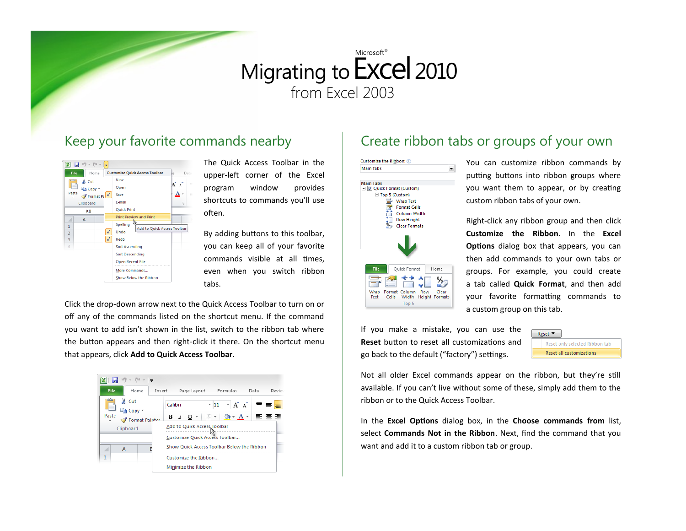#### Keep your favorite commands nearby



The Quick Access Toolbar in the upper-left corner of the Excel program window provides shortcuts to commands you'll use often.

By adding buttons to this toolbar, you can keep all of your favorite commands visible at all times, even when you switch ribbon tabs.

Click the drop-down arrow next to the Quick Access Toolbar to turn on or off any of the commands listed on the shortcut menu. If the command you want to add isn't shown in the list, switch to the ribbon tab where the button appears and then right-click it there. On the shortcut menu that appears, click **Add to Quick Access Toolbar**.



### Create ribbon tabs or groups of your own



You can customize ribbon commands by putting buttons into ribbon groups where you want them to appear, or by creating custom ribbon tabs of your own.

Right-click any ribbon group and then click **Customize the Ribbon**. In the **Excel Options** dialog box that appears, you can then add commands to your own tabs or groups. For example, you could create a tab called **Quick Format**, and then add your favorite formatting commands to a custom group on this tab.

If you make a mistake, you can use the **Reset** button to reset all customizations and go back to the default ("factory") settings.



Not all older Excel commands appear on the ribbon, but they're still available. If you can't live without some of these, simply add them to the ribbon or to the Quick Access Toolbar.

In the **Excel Options** dialog box, in the **Choose commands from** list, select **Commands Not in the Ribbon**. Next, find the command that you want and add it to a custom ribbon tab or group.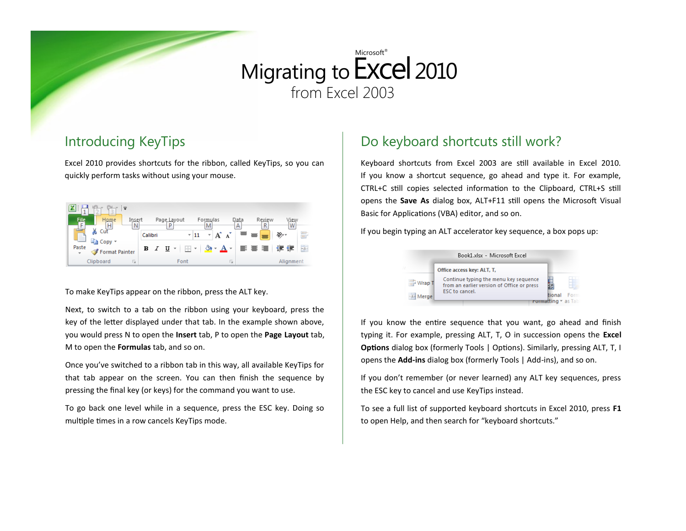### Introducing KeyTips

Excel 2010 provides shortcuts for the ribbon, called KeyTips, so you can quickly perform tasks without using your mouse.

| $\sim$                                   |                      |                                                              |                        |
|------------------------------------------|----------------------|--------------------------------------------------------------|------------------------|
| File<br>Home<br>Insert<br>p<br>н<br>Ν    | Page_Layout<br>P     | Data<br>Review<br>Formulas<br>M<br>А                         | V <u>iew</u><br>R<br>W |
| Cut<br>$\equiv$<br>Copy *                | Calibri<br>$=$ 11    | ≡<br>A<br>≡                                                  | 冨<br>s.,               |
| Paste<br>Format Painter<br>$\mathcal{P}$ | 開·<br>B I U<br>7. W. | $\mathcal{B} \cdot \mathbf{A} \cdot \mathbf{B} = \mathbf{B}$ | $-a$<br>◆三→三           |
| Clipboard<br>and a<br>Б                  | Font                 | <b>All Card</b><br>$\mathbb{I} \simeq$                       | Alignment              |

To make KeyTips appear on the ribbon, press the ALT key.

Next, to switch to a tab on the ribbon using your keyboard, press the key of the letter displayed under that tab. In the example shown above, you would press N to open the **Insert** tab, P to open the **Page Layout** tab, M to open the **Formulas** tab, and so on.

Once you've switched to a ribbon tab in this way, all available KeyTips for that tab appear on the screen. You can then finish the sequence by pressing the final key (or keys) for the command you want to use.

To go back one level while in a sequence, press the ESC key. Doing so multiple times in a row cancels KeyTips mode.

### Do keyboard shortcuts still work?

Keyboard shortcuts from Excel 2003 are still available in Excel 2010. If you know a shortcut sequence, go ahead and type it. For example, CTRL+C still copies selected information to the Clipboard, CTRL+S still opens the **Save As** dialog box, ALT+F11 still opens the Microsoft Visual Basic for Applications (VBA) editor, and so on.

If you begin typing an ALT accelerator key sequence, a box pops up:



If you know the entire sequence that you want, go ahead and finish typing it. For example, pressing ALT, T, O in succession opens the **Excel Options** dialog box (formerly Tools | Options). Similarly, pressing ALT, T, I opens the **Add-ins** dialog box (formerly Tools | Add-ins), and so on.

If you don't remember (or never learned) any ALT key sequences, press the ESC key to cancel and use KeyTips instead.

To see a full list of supported keyboard shortcuts in Excel 2010, press **F1** to open Help, and then search for "keyboard shortcuts."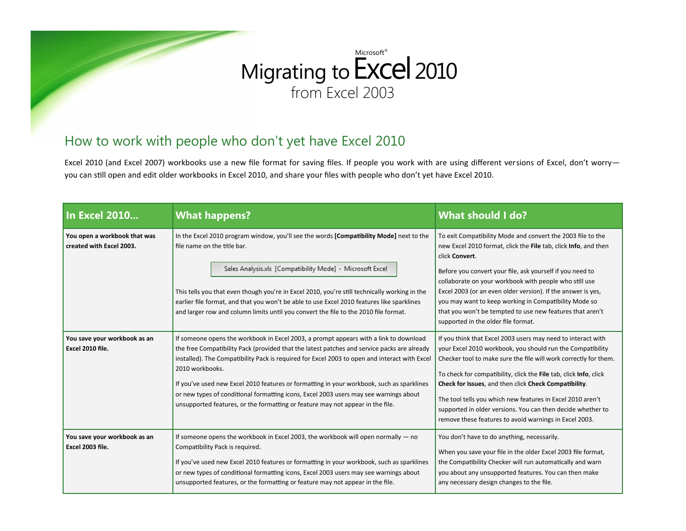### How to work with people who don't yet have Excel 2010

Excel 2010 (and Excel 2007) workbooks use a new file format for saving files. If people you work with are using different versions of Excel, don't worryyou can still open and edit older workbooks in Excel 2010, and share your files with people who don't yet have Excel 2010.

| In Excel 2010                                            | <b>What happens?</b>                                                                                                                                                                                                                                                                                                                                                                                                                                                                                                                                                             | <b>What should I do?</b>                                                                                                                                                                                                                                                                                                                                                                                                                                                                                            |
|----------------------------------------------------------|----------------------------------------------------------------------------------------------------------------------------------------------------------------------------------------------------------------------------------------------------------------------------------------------------------------------------------------------------------------------------------------------------------------------------------------------------------------------------------------------------------------------------------------------------------------------------------|---------------------------------------------------------------------------------------------------------------------------------------------------------------------------------------------------------------------------------------------------------------------------------------------------------------------------------------------------------------------------------------------------------------------------------------------------------------------------------------------------------------------|
| You open a workbook that was<br>created with Excel 2003. | In the Excel 2010 program window, you'll see the words [Compatibility Mode] next to the<br>file name on the title bar.<br>Sales Analysis.xls [Compatibility Mode] - Microsoft Excel<br>This tells you that even though you're in Excel 2010, you're still technically working in the<br>earlier file format, and that you won't be able to use Excel 2010 features like sparklines<br>and larger row and column limits until you convert the file to the 2010 file format.                                                                                                       | To exit Compatibility Mode and convert the 2003 file to the<br>new Excel 2010 format, click the File tab, click Info, and then<br>click Convert.<br>Before you convert your file, ask yourself if you need to<br>collaborate on your workbook with people who still use<br>Excel 2003 (or an even older version). If the answer is yes,<br>you may want to keep working in Compatibility Mode so<br>that you won't be tempted to use new features that aren't<br>supported in the older file format.                |
| You save your workbook as an<br>Excel 2010 file.         | If someone opens the workbook in Excel 2003, a prompt appears with a link to download<br>the free Compatibility Pack (provided that the latest patches and service packs are already<br>installed). The Compatibility Pack is required for Excel 2003 to open and interact with Excel<br>2010 workbooks.<br>If you've used new Excel 2010 features or formatting in your workbook, such as sparklines<br>or new types of conditional formatting icons, Excel 2003 users may see warnings about<br>unsupported features, or the formatting or feature may not appear in the file. | If you think that Excel 2003 users may need to interact with<br>your Excel 2010 workbook, you should run the Compatibility<br>Checker tool to make sure the file will work correctly for them.<br>To check for compatibility, click the File tab, click Info, click<br>Check for Issues, and then click Check Compatibility.<br>The tool tells you which new features in Excel 2010 aren't<br>supported in older versions. You can then decide whether to<br>remove these features to avoid warnings in Excel 2003. |
| You save your workbook as an<br>Excel 2003 file.         | If someone opens the workbook in Excel 2003, the workbook will open normally $-$ no<br>Compatibility Pack is required.<br>If you've used new Excel 2010 features or formatting in your workbook, such as sparklines<br>or new types of conditional formatting icons, Excel 2003 users may see warnings about<br>unsupported features, or the formatting or feature may not appear in the file.                                                                                                                                                                                   | You don't have to do anything, necessarily.<br>When you save your file in the older Excel 2003 file format,<br>the Compatibility Checker will run automatically and warn<br>you about any unsupported features. You can then make<br>any necessary design changes to the file.                                                                                                                                                                                                                                      |